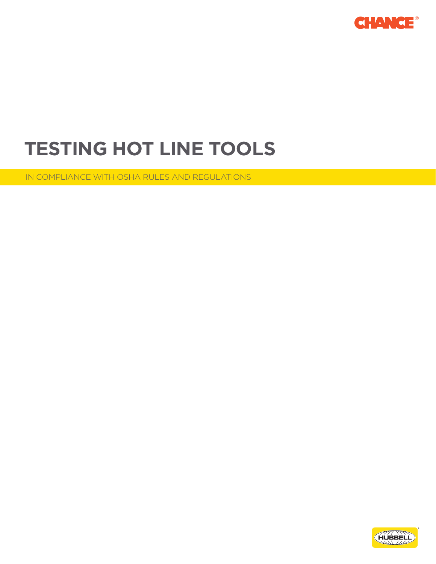

# **TESTING HOT LINE TOOLS**

IN COMPLIANCE WITH OSHA RULES AND REGULATIONS

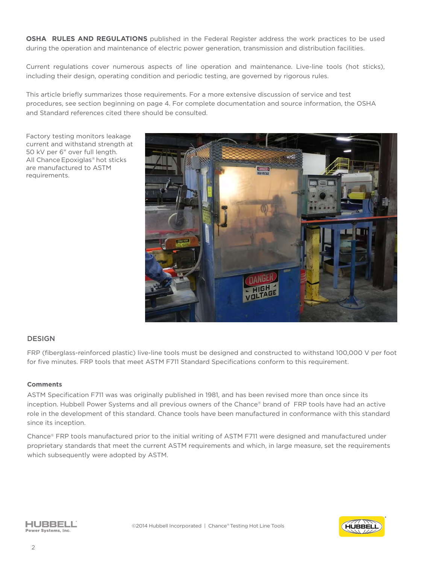**OSHA RULES AND REGULATIONS** published in the Federal Register address the work practices to be used during the operation and maintenance of electric power generation, transmission and distribution facilities.

Current regulations cover numerous aspects of line operation and maintenance. Live-line tools (hot sticks), including their design, operating condition and periodic testing, are governed by rigorous rules.

This article briefly summarizes those requirements. For a more extensive discussion of service and test procedures, see section beginning on page 4. For complete documentation and source information, the OSHA and Standard references cited there should be consulted.

Factory testing monitors leakage current and withstand strength at 50 kV per 6" over full length. All Chance Epoxiglas® hot sticks are manufactured to ASTM requirements.



## **DESIGN**

FRP (fiberglass-reinforced plastic) live-line tools must be designed and constructed to withstand 100,000 V per foot for five minutes. FRP tools that meet ASTM F711 Standard Specifications conform to this requirement.

#### **Comments**

ASTM Specification F711 was was originally published in 1981, and has been revised more than once since its inception. Hubbell Power Systems and all previous owners of the Chance® brand of FRP tools have had an active role in the development of this standard. Chance tools have been manufactured in conformance with this standard since its inception.

Chance® FRP tools manufactured prior to the initial writing of ASTM F711 were designed and manufactured under proprietary standards that meet the current ASTM requirements and which, in large measure, set the requirements which subsequently were adopted by ASTM.



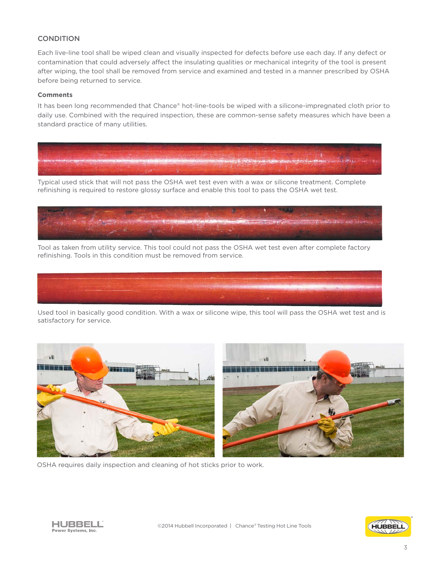## **CONDITION**

Each live-line tool shall be wiped clean and visually inspected for defects before use each day. If any defect or contamination that could adversely affect the insulating qualities or mechanical integrity of the tool is present after wiping, the tool shall be removed from service and examined and tested in a manner prescribed by OSHA before being returned to service.

#### **Comments**

It has been long recommended that Chance® hot-line-tools be wiped with a silicone-impregnated cloth prior to daily use. Combined with the required inspection, these are common-sense safety measures which have been a standard practice of many utilities.



Typical used stick that will not pass the OSHA wet test even with a wax or silicone treatment. Complete refinishing is required to restore glossy surface and enable this tool to pass the OSHA wet test.



Tool as taken from utility service. This tool could not pass the OSHA wet test even after complete factory refinishing. Tools in this condition must be removed from service.



Used tool in basically good condition. With a wax or silicone wipe, this tool will pass the OSHA wet test and is satisfactory for service.



OSHA requires daily inspection and cleaning of hot sticks prior to work.



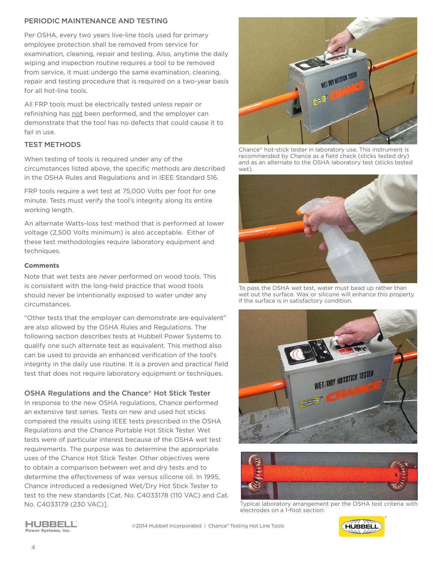## PERIODIC MAINTENANCE AND TESTING

Per OSHA, every two years live-line tools used for primary employee protection shall be removed from service for examination, cleaning, repair and testing. Also, anytime the daily wiping and inspection routine requires a tool to be removed from service, it must undergo the same examination, cleaning, repair and testing procedure that is required on a two-year basis for all hot-line tools.

All FRP tools must be electrically tested unless repair or refinishing has not been performed, and the employer can demonstrate that the tool has no defects that could cause it to fail in use.

## TEST METHODS

When testing of tools is required under any of the circumstances listed above, the specific methods are described in the OSHA Rules and Regulations and in IEEE Standard 516.

FRP tools require a wet test at 75,000 Volts per foot for one minute. Tests must verify the tool's integrity along its entire working length.

An alternate Watts-loss test method that is performed at lower voltage (2,500 Volts minimum) is also acceptable. Either of these test methodologies require laboratory equipment and techniques.

## **Comments**

Note that wet tests are never performed on wood tools. This is consistent with the long-held practice that wood tools should never be intentionally exposed to water under any circumstances.

"Other tests that the employer can demonstrate are equivalent" are also allowed by the OSHA Rules and Regulations. The following section describes tests at Hubbell Power Systems to qualify one such alternate test as equivalent. This method also can be used to provide an enhanced verification of the tool's integrity in the daily use routine. It is a proven and practical field test that does not require laboratory equipment or techniques.

## OSHA Regulations and the Chance® Hot Stick Tester

In response to the new OSHA regulations, Chance performed an extensive test series. Tests on new and used hot sticks compared the results using IEEE tests prescribed in the OSHA Regulations and the Chance Portable Hot Stick Tester. Wet tests were of particular interest because of the OSHA wet test requirements. The purpose was to determine the appropriate uses of the Chance Hot Stick Tester. Other objectives were to obtain a comparison between wet and dry tests and to determine the effectiveness of wax versus silicone oil. In 1995, Chance introduced a redesigned Wet/Dry Hot Stick Tester to test to the new standards [Cat. No. C4033178 (110 VAC) and Cat. No. C4033179 (230 VAC)].



Chance® hot-stick tester in laboratory use. This instrument is recommended by Chance as a field check (sticks tested dry) and as an alternate to the OSHA laboratory test (sticks tested wet).



To pass the OSHA wet test, water must bead up rather than wet out the surface. Wax or silicone will enhance this property if the surface is in satisfactory condition.





Typical laboratory arrangement per the OSHA test criteria with electrodes on a 1-foot section.



HUBBELL Power Systems, Inc.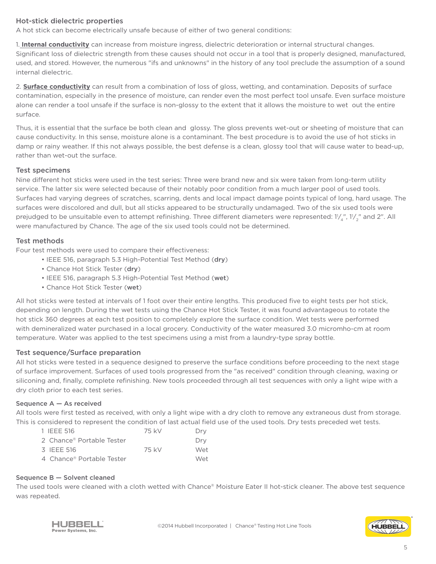## Hot-stick dielectric properties

A hot stick can become electrically unsafe because of either of two general conditions:

1. **Internal conductivity** can increase from moisture ingress, dielectric deterioration or internal structural changes. Significant loss of dielectric strength from these causes should not occur in a tool that is properly designed, manufactured, used, and stored. However, the numerous "ifs and unknowns" in the history of any tool preclude the assumption of a sound internal dielectric.

2. **Surface conductivity** can result from a combination of loss of gloss, wetting, and contamination. Deposits of surface contamination, especially in the presence of moisture, can render even the most perfect tool unsafe. Even surface moisture alone can render a tool unsafe if the surface is non-glossy to the extent that it allows the moisture to wet out the entire surface.

Thus, it is essential that the surface be both clean and glossy. The gloss prevents wet-out or sheeting of moisture that can cause conductivity. In this sense, moisture alone is a contaminant. The best procedure is to avoid the use of hot sticks in damp or rainy weather. If this not always possible, the best defense is a clean, glossy tool that will cause water to bead-up, rather than wet-out the surface.

# Test specimens

Nine different hot sticks were used in the test series: Three were brand new and six were taken from long-term utility service. The latter six were selected because of their notably poor condition from a much larger pool of used tools. Surfaces had varying degrees of scratches, scarring, dents and local impact damage points typical of long, hard usage. The surfaces were discolored and dull, but all sticks appeared to be structurally undamaged. Two of the six used tools were prejudged to be unsuitable even to attempt refinishing. Three different diameters were represented: 1¼, 11⁄2" and 2". All were manufactured by Chance. The age of the six used tools could not be determined.

# Test methods

Four test methods were used to compare their effectiveness:

- IEEE 516, paragraph 5.3 High-Potential Test Method (dry)
- Chance Hot Stick Tester (dry)
- IEEE 516, paragraph 5.3 High-Potential Test Method (wet)
- Chance Hot Stick Tester (wet)

All hot sticks were tested at intervals of 1 foot over their entire lengths. This produced five to eight tests per hot stick, depending on length. During the wet tests using the Chance Hot Stick Tester, it was found advantageous to rotate the hot stick 360 degrees at each test position to completely explore the surface condition. Wet tests were performed with demineralized water purchased in a local grocery. Conductivity of the water measured 3.0 micromho-cm at room temperature. Water was applied to the test specimens using a mist from a laundry-type spray bottle.

## Test sequence/Surface preparation

All hot sticks were tested in a sequence designed to preserve the surface conditions before proceeding to the next stage of surface improvement. Surfaces of used tools progressed from the "as received" condition through cleaning, waxing or siliconing and, finally, complete refinishing. New tools proceeded through all test sequences with only a light wipe with a dry cloth prior to each test series.

## Sequence A — As received

All tools were first tested as received, with only a light wipe with a dry cloth to remove any extraneous dust from storage. This is considered to represent the condition of last actual field use of the used tools. Dry tests preceded wet tests.

| 1 IFFF 516                | 75 kV | Drv |
|---------------------------|-------|-----|
| 2 Chance® Portable Tester |       | Drv |
| 3 IFFF 516                | 75 kV | Wet |
| 4 Chance® Portable Tester |       | Wet |

## Sequence B — Solvent cleaned

The used tools were cleaned with a cloth wetted with Chance® Moisture Eater II hot-stick cleaner. The above test sequence was repeated.



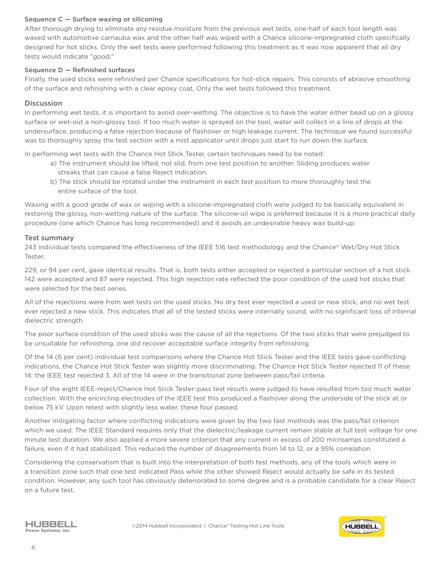## Sequence C — Surface waxing or siliconing

After thorough drying to eliminate any residue moisture from the previous wet tests, one-half of each tool length was waxed with automotive carnauba wax and the other half was wiped with a Chance silicone-impregnated cloth specifically designed for hot sticks. Only the wet tests were performed following this treatment as it was now apparent that all dry tests would indicate "good."

#### Sequence D — Refinished surfaces

Finally, the used sticks were refinished per Chance specifications for hot-stick repairs. This consists of abrasive smoothing of the surface and refinishing with a clear epoxy coat. Only the wet tests followed this treatment.

## **Discussion**

In performing wet tests, it is important to avoid over-wetting. The objective is to have the water either bead up on a glossy surface or wet-out a non-glossy tool. If too much water is sprayed on the tool, water will collect in a line of drops at the undersurface, producing a false rejection because of flashover or high leakage current. The technique we found successful was to thoroughly spray the test section with a mist applicator until drops just start to run down the surface.

In performing wet tests with the Chance Hot Stick Tester, certain techniques need to be noted:

- a) The instrument should be lifted, not slid, from one test position to another. Sliding produces water streaks that can cause a false Reject indication.
- b) The stick should be rotated under the instrument in each test position to more thoroughly test the entire surface of the tool.

Waxing with a good grade of wax or wiping with a silicone-impregnated cloth were judged to be basically equivalent in restoring the glossy, non-wetting nature of the surface. The silicone-oil wipe is preferred because it is a more practical daily procedure (one which Chance has long recommended) and it avoids an undesirable heavy wax build-up.

## Test summary

243 individual tests compared the effectiveness of the IEEE 516 test methodology and the Chance® Wet/Dry Hot Stick Tester.

229, or 94 per cent, gave identical results. That is, both tests either accepted or rejected a particular section of a hot stick. 142 were accepted and 87 were rejected. This high rejection rate reflected the poor condition of the used hot sticks that were selected for the test series.

All of the rejections were from wet tests on the used sticks. No dry test ever rejected a used or new stick, and no wet test ever rejected a new stick. This indicates that all of the tested sticks were internally sound, with no significant loss of internal dielectric strength.

The poor surface condition of the used sticks was the cause of all the rejections. Of the two sticks that were prejudged to be unsuitable for refinishing, one did recover acceptable surface integrity from refinishing.

Of the 14 (6 per cent) individual test comparisons where the Chance Hot Stick Tester and the IEEE tests gave conflicting indications, the Chance Hot Stick Tester was slightly more discriminating. The Chance Hot Stick Tester rejected 11 of these 14; the IEEE test rejected 3. All of the 14 were in the transitional zone between pass/fail criteria.

Four of the eight IEEE-reject/Chance Hot Stick Tester-pass test results were judged to have resulted from too much water collection. With the encircling electrodes of the IEEE test this produced a flashover along the underside of the stick at or below 75 kV. Upon retest with slightly less water, these four passed.

Another mitigating factor where conflicting indications were given by the two test methods was the pass/fail criterion which we used. The IEEE Standard requires only that the dielectric/leakage current remain stable at full test voltage for one minute test duration. We also applied a more severe criterion that any current in excess of 200 microamps constituted a failure, even if it had stabilized. This reduced the number of disagreements from 14 to 12, or a 95% correlation.

Considering the conservatism that is built into the interpretation of both test methods, any of the tools which were in a transition zone such that one test indicated Pass while the other showed Reject would actually be safe in its tested condition. However, any such tool has obviously deteriorated to some degree and is a probable candidate for a clear Reject on a future test.



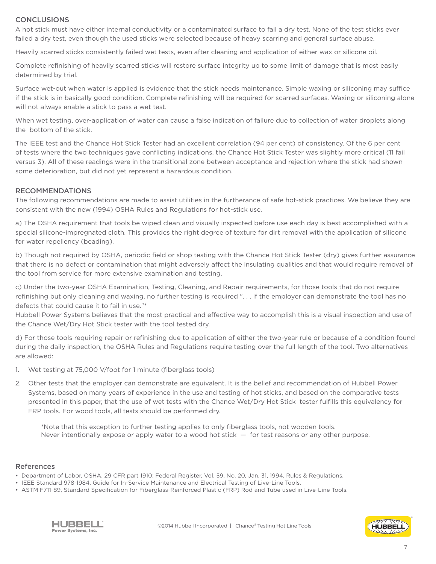## **CONCLUSIONS**

A hot stick must have either internal conductivity or a contaminated surface to fail a dry test. None of the test sticks ever failed a dry test, even though the used sticks were selected because of heavy scarring and general surface abuse.

Heavily scarred sticks consistently failed wet tests, even after cleaning and application of either wax or silicone oil.

Complete refinishing of heavily scarred sticks will restore surface integrity up to some limit of damage that is most easily determined by trial.

Surface wet-out when water is applied is evidence that the stick needs maintenance. Simple waxing or siliconing may suffice if the stick is in basically good condition. Complete refinishing will be required for scarred surfaces. Waxing or siliconing alone will not always enable a stick to pass a wet test.

When wet testing, over-application of water can cause a false indication of failure due to collection of water droplets along the bottom of the stick.

The IEEE test and the Chance Hot Stick Tester had an excellent correlation (94 per cent) of consistency. Of the 6 per cent of tests where the two techniques gave conflicting indications, the Chance Hot Stick Tester was slightly more critical (11 fail versus 3). All of these readings were in the transitional zone between acceptance and rejection where the stick had shown some deterioration, but did not yet represent a hazardous condition.

#### RECOMMENDATIONS

The following recommendations are made to assist utilities in the furtherance of safe hot-stick practices. We believe they are consistent with the new (1994) OSHA Rules and Regulations for hot-stick use.

a) The OSHA requirement that tools be wiped clean and visually inspected before use each day is best accomplished with a special silicone-impregnated cloth. This provides the right degree of texture for dirt removal with the application of silicone for water repellency (beading).

b) Though not required by OSHA, periodic field or shop testing with the Chance Hot Stick Tester (dry) gives further assurance that there is no defect or contamination that might adversely affect the insulating qualities and that would require removal of the tool from service for more extensive examination and testing.

c) Under the two-year OSHA Examination, Testing, Cleaning, and Repair requirements, for those tools that do not require refinishing but only cleaning and waxing, no further testing is required ". . . if the employer can demonstrate the tool has no defects that could cause it to fail in use."\*

Hubbell Power Systems believes that the most practical and effective way to accomplish this is a visual inspection and use of the Chance Wet/Dry Hot Stick tester with the tool tested dry.

d) For those tools requiring repair or refinishing due to application of either the two-year rule or because of a condition found during the daily inspection, the OSHA Rules and Regulations require testing over the full length of the tool. Two alternatives are allowed:

- 1. Wet testing at 75,000 V/foot for 1 minute (fiberglass tools)
- 2. Other tests that the employer can demonstrate are equivalent. It is the belief and recommendation of Hubbell Power Systems, based on many years of experience in the use and testing of hot sticks, and based on the comparative tests presented in this paper, that the use of wet tests with the Chance Wet/Dry Hot Stick tester fulfills this equivalency for FRP tools. For wood tools, all tests should be performed dry.

\*Note that this exception to further testing applies to only fiberglass tools, not wooden tools. Never intentionally expose or apply water to a wood hot stick — for test reasons or any other purpose.

#### References

- Department of Labor, OSHA, 29 CFR part 1910; Federal Register, Vol. 59, No. 20, Jan. 31, 1994, Rules & Regulations.
- IEEE Standard 978-1984, Guide for In-Service Maintenance and Electrical Testing of Live-Line Tools.
- ASTM F711-89, Standard Specification for Fiberglass-Reinforced Plastic (FRP) Rod and Tube used in Live-Line Tools.